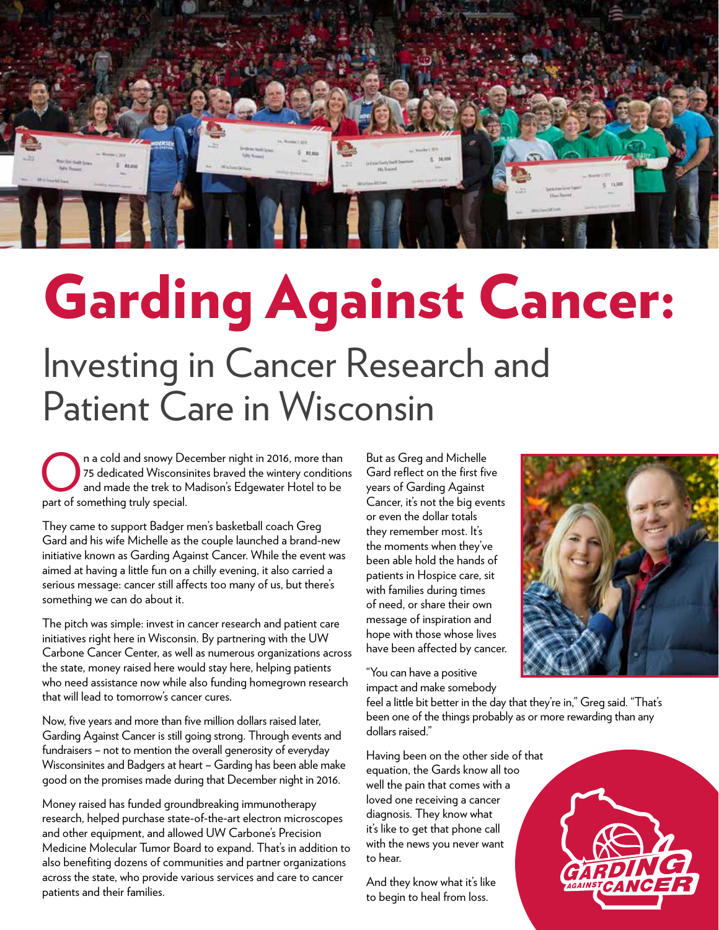

## Garding Against Cancer: Investing in Cancer Research and Patient Care in Wisconsin

n a cold and snowy December night in 2016, more than 75 dedicated Wisconsinites braved the wintery conditions and made the trek to Madison's Edgewater Hotel to be part of something truly special.

They came to support Badger men's basketball coach Greg Gard and his wife Michelle as the couple launched a brand-new initiative known as Garding Against Cancer. While the event was aimed at having a little fun on a chilly evening, it also carried a serious message: cancer still affects too many of us, but there's something we can do about it.

The pitch was simple: invest in cancer research and patient care initiatives right here in Wisconsin. By partnering with the UW Carbone Cancer Center, as well as numerous organizations across the state, money raised here would stay here, helping patients who need assistance now while also funding homegrown research that will lead to tomorrow's cancer cures.

Now, five years and more than five million dollars raised later, Garding Against Cancer is still going strong. Through events and fundraisers – not to mention the overall generosity of everyday Wisconsinites and Badgers at heart – Garding has been able make good on the promises made during that December night in 2016.

Money raised has funded groundbreaking immunotherapy research, helped purchase state-of-the-art electron microscopes and other equipment, and allowed UW Carbone's Precision Medicine Molecular Tumor Board to expand. That's in addition to also benefiting dozens of communities and partner organizations across the state, who provide various services and care to cancer patients and their families.

But as Greg and Michelle Gard reflect on the first five years of Garding Against Cancer, it's not the big events or even the dollar totals they remember most. It's the moments when they've been able hold the hands of patients in Hospice care, sit with families during times of need, or share their own message of inspiration and hope with those whose lives have been affected by cancer.

"You can have a positive impact and make somebody



feel a little bit better in the day that they're in," Greg said. "That's been one of the things probably as or more rewarding than any dollars raised."

Having been on the other side of that equation, the Gards know all too well the pain that comes with a loved one receiving a cancer diagnosis. They know what it's like to get that phone call with the news you never want to hear.

And they know what it's like to begin to heal from loss.

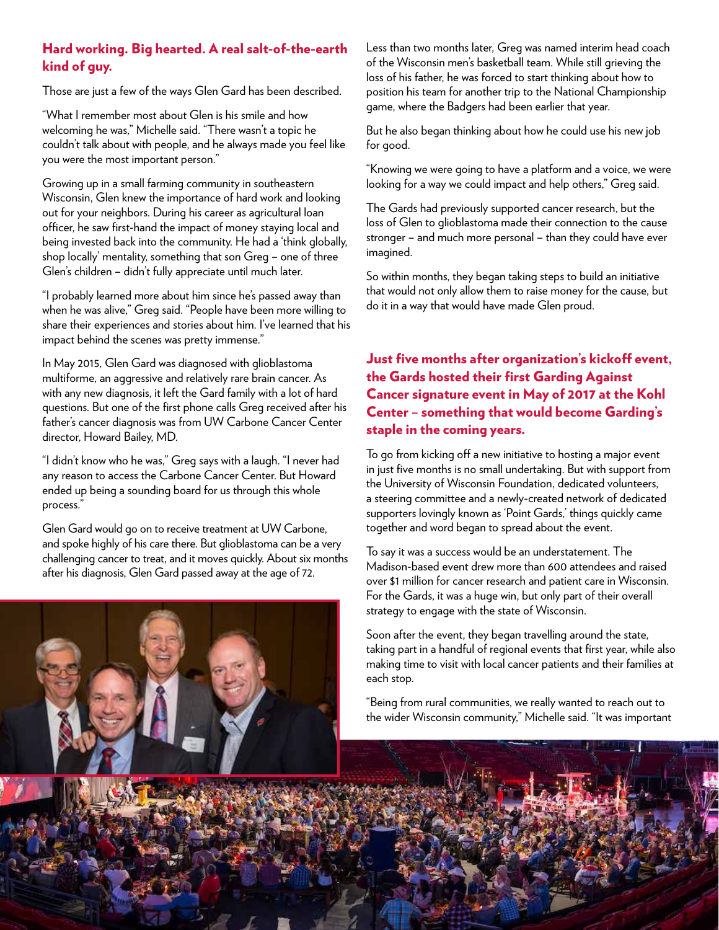## Hard working. Big hearted. A real salt-of-the-earth kind of guy.

Those are just a few of the ways Glen Gard has been described.

"What I remember most about Glen is his smile and how welcoming he was," Michelle said. "There wasn't a topic he couldn't talk about with people, and he always made you feel like you were the most important person."

Growing up in a small farming community in southeastern Wisconsin, Glen knew the importance of hard work and looking out for your neighbors. During his career as agricultural loan officer, he saw first-hand the impact of money staying local and being invested back into the community. He had a 'think globally, shop locally' mentality, something that son Greg – one of three Glen's children – didn't fully appreciate until much later.

"I probably learned more about him since he's passed away than when he was alive," Greg said. "People have been more willing to share their experiences and stories about him. I've learned that his impact behind the scenes was pretty immense."

In May 2015, Glen Gard was diagnosed with glioblastoma multiforme, an aggressive and relatively rare brain cancer. As with any new diagnosis, it left the Gard family with a lot of hard questions. But one of the first phone calls Greg received after his father's cancer diagnosis was from UW Carbone Cancer Center director, Howard Bailey, MD.

"I didn't know who he was," Greg says with a laugh. "I never had any reason to access the Carbone Cancer Center. But Howard ended up being a sounding board for us through this whole process."

Glen Gard would go on to receive treatment at UW Carbone, and spoke highly of his care there. But glioblastoma can be a very challenging cancer to treat, and it moves quickly. About six months after his diagnosis, Glen Gard passed away at the age of 72.



Less than two months later, Greg was named interim head coach of the Wisconsin men's basketball team. While still grieving the loss of his father, he was forced to start thinking about how to position his team for another trip to the National Championship game, where the Badgers had been earlier that year.

But he also began thinking about how he could use his new job for good.

"Knowing we were going to have a platform and a voice, we were looking for a way we could impact and help others," Greg said.

The Gards had previously supported cancer research, but the loss of Glen to glioblastoma made their connection to the cause stronger – and much more personal – than they could have ever imagined.

So within months, they began taking steps to build an initiative that would not only allow them to raise money for the cause, but do it in a way that would have made Glen proud.

Just five months after organization's kickoff event, the Gards hosted their first Garding Against Cancer signature event in May of 2017 at the Kohl Center – something that would become Garding's staple in the coming years.

To go from kicking off a new initiative to hosting a major event in just five months is no small undertaking. But with support from the University of Wisconsin Foundation, dedicated volunteers, a steering committee and a newly-created network of dedicated supporters lovingly known as 'Point Gards,' things quickly came together and word began to spread about the event.

To say it was a success would be an understatement. The Madison-based event drew more than 600 attendees and raised over \$1 million for cancer research and patient care in Wisconsin. For the Gards, it was a huge win, but only part of their overall strategy to engage with the state of Wisconsin.

Soon after the event, they began travelling around the state, taking part in a handful of regional events that first year, while also making time to visit with local cancer patients and their families at each stop.

"Being from rural communities, we really wanted to reach out to the wider Wisconsin community," Michelle said. "It was important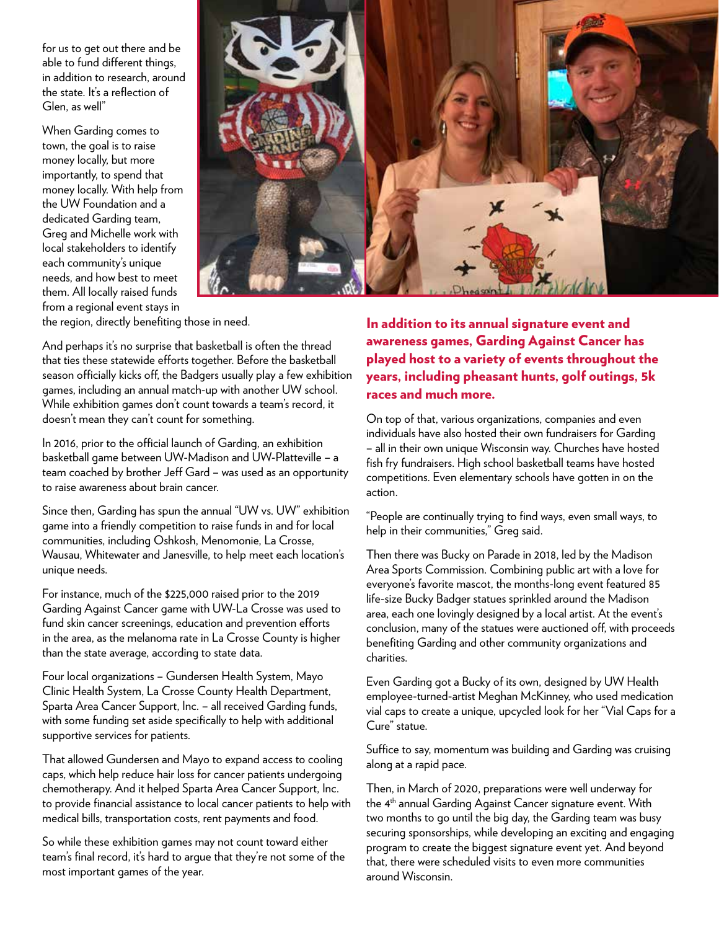for us to get out there and be able to fund different things, in addition to research, around the state. It's a reflection of Glen, as well"

When Garding comes to town, the goal is to raise money locally, but more importantly, to spend that money locally. With help from the UW Foundation and a dedicated Garding team, Greg and Michelle work with local stakeholders to identify each community's unique needs, and how best to meet them. All locally raised funds from a regional event stays in



the region, directly benefiting those in need.

And perhaps it's no surprise that basketball is often the thread that ties these statewide efforts together. Before the basketball season officially kicks off, the Badgers usually play a few exhibition games, including an annual match-up with another UW school. While exhibition games don't count towards a team's record, it doesn't mean they can't count for something.

In 2016, prior to the official launch of Garding, an exhibition basketball game between UW-Madison and UW-Platteville – a team coached by brother Jeff Gard – was used as an opportunity to raise awareness about brain cancer.

Since then, Garding has spun the annual "UW vs. UW" exhibition game into a friendly competition to raise funds in and for local communities, including Oshkosh, Menomonie, La Crosse, Wausau, Whitewater and Janesville, to help meet each location's unique needs.

For instance, much of the \$225,000 raised prior to the 2019 Garding Against Cancer game with UW-La Crosse was used to fund skin cancer screenings, education and prevention efforts in the area, as the melanoma rate in La Crosse County is higher than the state average, according to state data.

Four local organizations – Gundersen Health System, Mayo Clinic Health System, La Crosse County Health Department, Sparta Area Cancer Support, Inc. – all received Garding funds, with some funding set aside specifically to help with additional supportive services for patients.

That allowed Gundersen and Mayo to expand access to cooling caps, which help reduce hair loss for cancer patients undergoing chemotherapy. And it helped Sparta Area Cancer Support, Inc. to provide financial assistance to local cancer patients to help with medical bills, transportation costs, rent payments and food.

So while these exhibition games may not count toward either team's final record, it's hard to argue that they're not some of the most important games of the year.

In addition to its annual signature event and awareness games, Garding Against Cancer has played host to a variety of events throughout the years, including pheasant hunts, golf outings, 5k races and much more.

On top of that, various organizations, companies and even individuals have also hosted their own fundraisers for Garding – all in their own unique Wisconsin way. Churches have hosted fish fry fundraisers. High school basketball teams have hosted competitions. Even elementary schools have gotten in on the action.

"People are continually trying to find ways, even small ways, to help in their communities," Greg said.

Then there was Bucky on Parade in 2018, led by the Madison Area Sports Commission. Combining public art with a love for everyone's favorite mascot, the months-long event featured 85 life-size Bucky Badger statues sprinkled around the Madison area, each one lovingly designed by a local artist. At the event's conclusion, many of the statues were auctioned off, with proceeds benefiting Garding and other community organizations and charities.

Even Garding got a Bucky of its own, designed by UW Health employee-turned-artist Meghan McKinney, who used medication vial caps to create a unique, upcycled look for her "Vial Caps for a Cure" statue.

Suffice to say, momentum was building and Garding was cruising along at a rapid pace.

Then, in March of 2020, preparations were well underway for the 4<sup>th</sup> annual Garding Against Cancer signature event. With two months to go until the big day, the Garding team was busy securing sponsorships, while developing an exciting and engaging program to create the biggest signature event yet. And beyond that, there were scheduled visits to even more communities around Wisconsin.